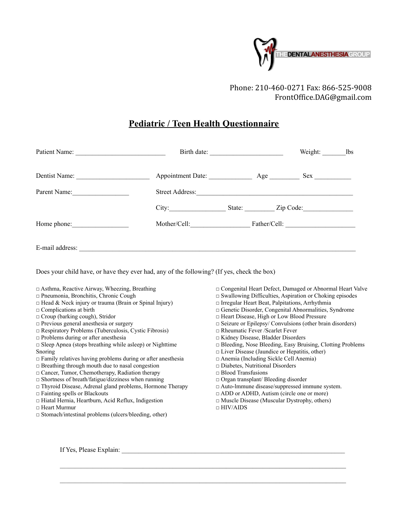

Phone: 210-460-0271 Fax: 866-525-9008 [FrontOffice.DAG@gmail.com](mailto:FrontOffice.DAG@gmail.com)

## **Pediatric / Teen Health Questionnaire**

| Patient Name: |                 |  | Weight:          | <b>lbs</b> |
|---------------|-----------------|--|------------------|------------|
| Dentist Name: |                 |  |                  |            |
| Parent Name:  | Street Address: |  |                  |            |
|               | City:           |  | State: Zip Code: |            |
| Home phone:   | Mother/Cell:    |  |                  |            |
|               |                 |  |                  |            |

Does your child have, or have they ever had, any of the following? (If yes, check the box)

□ Asthma, Reactive Airway, Wheezing, Breathing

- □ Pneumonia, Bronchitis, Chronic Cough
- $\Box$  Head & Neck injury or trauma (Brain or Spinal Injury)
- $\Box$  <br> Complications at birth
- □ Croup (barking cough), Stridor
- □ Previous general anesthesia or surgery
- □ Respiratory Problems (Tuberculosis, Cystic Fibrosis)
- □ Problems during or after anesthesia
- $\square$  Sleep Apnea (stops breathing while asleep) or Nighttime
- Snoring
- □ Family relatives having problems during or after anesthesia
- □ Breathing through mouth due to nasal congestion
- □ Cancer, Tumor, Chemotherapy, Radiation therapy
- □ Shortness of breath/fatigue/dizziness when running
- □ Thyroid Disease, Adrenal gland problems, Hormone Therapy
- □ Fainting spells or Blackouts
- □ Hiatal Hernia, Heartburn, Acid Reflux, Indigestion
- □ Heart Murmur
- □ Stomach/intestinal problems (ulcers/bleeding, other)
- □ Congenital Heart Defect, Damaged or Abnormal Heart Valve
- □ Swallowing Difficulties, Aspiration or Choking episodes
- □ Irregular Heart Beat, Palpitations, Arrhythmia
- □ Genetic Disorder, Congenital Abnormalities, Syndrome
- □ Heart Disease, High or Low Blood Pressure
- □ Seizure or Epilepsy/ Convulsions (other brain disorders)
- □ Rheumatic Fever /Scarlet Fever
- □ Kidney Disease, Bladder Disorders
- □ Bleeding, Nose Bleeding, Easy Bruising, Clotting Problems
- □ Liver Disease (Jaundice or Hepatitis, other)
- □ Anemia (Including Sickle Cell Anemia)
- □ Diabetes, Nutritional Disorders
- □ Blood Transfusions
- □ Organ transplant/ Bleeding disorder
- □ Auto-lmmune disease/suppressed immune system.
- □ ADD or ADHD, Autism (circle one or more)
- □ Muscle Disease (Muscular Dystrophy, others)
- □ HIV/AIDS

If Yes, Please Explain: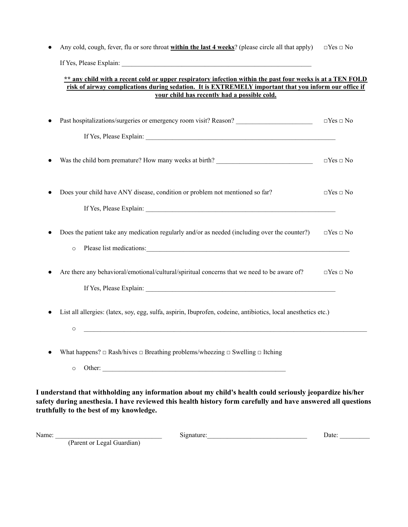● Any cold, cough, fever, flu or sore throat **within the last 4 weeks**? (please circle all that apply) □Yes □ No If Yes, Please Explain: \_\_\_\_\_\_\_\_\_\_\_\_\_\_\_\_\_\_\_\_\_\_\_\_\_\_\_\_\_\_\_\_\_\_\_\_\_\_\_\_\_\_\_\_\_\_\_\_\_\_\_\_\_\_\_\_\_

#### \*\* any child with a recent cold or upper respiratory infection within the past four weeks is at a TEN FOLD **risk of airway complications during sedation. It is EXTREMELY important that you inform our office if your child has recently had a possible cold.**

| Past hospitalizations/surgeries or emergency room visit? Reason? ________________                                                                                                                                                                  | $\Box$ Yes $\Box$ No |
|----------------------------------------------------------------------------------------------------------------------------------------------------------------------------------------------------------------------------------------------------|----------------------|
|                                                                                                                                                                                                                                                    |                      |
| Was the child born premature? How many weeks at birth? _________________________                                                                                                                                                                   | $\Box Yes \Box No$   |
| Does your child have ANY disease, condition or problem not mentioned so far?                                                                                                                                                                       | $\Box$ Yes $\Box$ No |
|                                                                                                                                                                                                                                                    |                      |
| Does the patient take any medication regularly and/or as needed (including over the counter?)<br>$\circ$                                                                                                                                           | $\Box$ Yes $\Box$ No |
| Are there any behavioral/emotional/cultural/spiritual concerns that we need to be aware of?                                                                                                                                                        | $\Box$ Yes $\Box$ No |
| List all allergies: (latex, soy, egg, sulfa, aspirin, Ibuprofen, codeine, antibiotics, local anesthetics etc.)<br><u> 1989 - Johann Harry Harry Harry Harry Harry Harry Harry Harry Harry Harry Harry Harry Harry Harry Harry Harry</u><br>$\circ$ |                      |
| What happens? $\Box$ Rash/hives $\Box$ Breathing problems/wheezing $\Box$ Swelling $\Box$ Itching                                                                                                                                                  |                      |
| $\circ$                                                                                                                                                                                                                                            |                      |

**truthfully to the best of my knowledge.**

| Name: |                                                           | )ate |
|-------|-----------------------------------------------------------|------|
|       | eoal<br>. juardian<br>: Parent or<br>- - - - - - -<br>. . |      |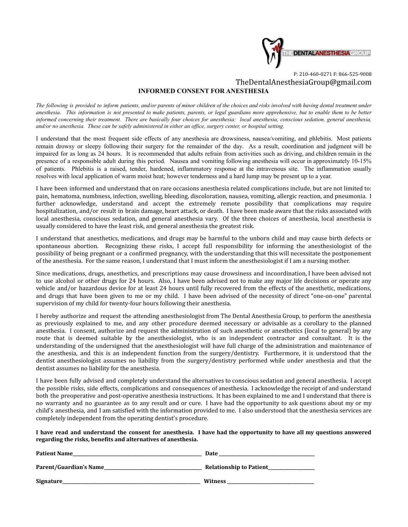

#### P: 210-460-0271 F: 866-525-9008 [TheDentalAnesthesiaGroup@gmail.com](mailto:TheDentalAnesthesiaGroup@gmail.com) **INFORMED CONSENT FOR ANESTHESIA**

The following is provided to inform patients, and/or parents of minor children of the choices and risks involved with having dental treatment under anesthesia. This information is not presented to make patients, parents, or legal guardians more apprehensive, but to enable them to be better informed concerning their treatment. There are basically four choices for anesthesia: local anesthesia, conscious sedation, general anesthesia, and/or no anesthesia. These can be safely administered in either an office, surgery center, or hospital setting.

I understand that the most frequent side effects of any anesthesia are drowsiness, nausea/vomiting, and phlebitis. Most patients remain drowsy or sleepy following their surgery for the remainder of the day. As a result, coordination and judgment will be impaired for as long as 24 hours. It is recommended that adults refrain from activities such as driving, and children remain in the presence of a responsible adult during this period. Nausea and vomiting following anesthesia will occur in approximately 10-15% of patients. Phlebitis is a raised, tender, hardened, inflammatory response at the intravenous site. The inflammation usually resolves with local application of warm moist heat; however tenderness and a hard lump may be present up to a year.

I have been informed and understand that on rare occasions anesthesia related complications include, but are not limited to: pain, hematoma, numbness, infection, swelling, bleeding, discoloration, nausea, vomiting, allergic reaction, and pneumonia. I further acknowledge, understand and accept the extremely remote possibility that complications may require hospitalization, and/or result in brain damage, heart attack, or death. I have been made aware that the risks associated with local anesthesia, conscious sedation, and general anesthesia vary. Of the three choices of anesthesia, local anesthesia is usually considered to have the least risk, and general anesthesia the greatest risk.

I understand that anesthetics, medications, and drugs may be harmful to the unborn child and may cause birth defects or spontaneous abortion. Recognizing these risks, I accept full responsibility for informing the anesthesiologist of the possibility of being pregnant or a confirmed pregnancy, with the understanding that this will necessitate the postponement of the anesthesia. For the same reason, I understand that I must inform the anesthesiologist if I am a nursing mother.

Since medications, drugs, anesthetics, and prescriptions may cause drowsiness and incoordination, I have been advised not to use alcohol or other drugs for 24 hours. Also, I have been advised not to make any major life decisions or operate any vehicle and/or hazardous device for at least 24 hours until fully recovered from the effects of the anesthetic, medications, and drugs that have been given to me or my child. I have been advised of the necessity of direct "one-on-one" parental supervision of my child for twenty-four hours following their anesthesia.

I hereby authorize and request the attending anesthesiologist from The Dental Anesthesia Group, to perform the anesthesia as previously explained to me, and any other procedure deemed necessary or advisable as a corollary to the planned anesthesia. I consent, authorize and request the administration of such anesthetic or anesthetics (local to general) by any route that is deemed suitable by the anesthesiologist, who is an independent contractor and consultant. It is the understanding of the undersigned that the anesthesiologist will have full charge of the administration and maintenance of the anesthesia, and this is an independent function from the surgery/dentistry. Furthermore, it is understood that the dentist anesthesiologist assumes no liability from the surgery/dentistry performed while under anesthesia and that the dentist assumes no liability for the anesthesia.

I have been fully advised and completely understand the alternatives to conscious sedation and general anesthesia. I accept the possible risks, side effects, complications and consequences of anesthesia. I acknowledge the receipt of and understand both the preoperative and post-operative anesthesia instructions. It has been explained to me and I understand that there is no warranty and no guarantee as to any result and or cure. I have had the opportunity to ask questions about my or my child's anesthesia, and I am satisfied with the information provided to me. I also understood that the anesthesia services are completely independent from the operating dentist's procedure.

I have read and understand the consent for anesthesia. I have had the opportunity to have all my questions answered **regarding the risks, benefits and alternatives of anesthesia.**

| <b>Patient Name</b>    | Date                           |
|------------------------|--------------------------------|
| Parent/Guardian's Name | <b>Relationship to Patient</b> |
| <b>Signature</b>       | Witness                        |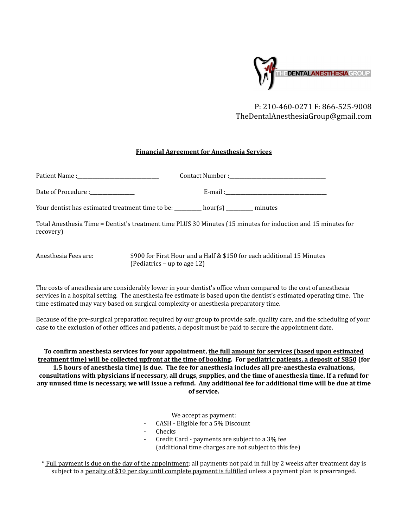

## P: 210-460-0271 F: 866-525-9008 [TheDentalAnesthesiaGroup@gmail.com](mailto:TheDentalAnesthesiaGroup@gmail.com)

#### **Financial Agreement for Anesthesia Services**

| Date of Procedure :_____________                                         |  |                                                                                                               |  |
|--------------------------------------------------------------------------|--|---------------------------------------------------------------------------------------------------------------|--|
| Your dentist has estimated treatment time to be: hour(s) _______ minutes |  |                                                                                                               |  |
| recovery)                                                                |  | Total Anesthesia Time = Dentist's treatment time PLUS 30 Minutes (15 minutes for induction and 15 minutes for |  |
| Anesthesia Fees are:                                                     |  | \$900 for First Hour and a Half & \$150 for each additional 15 Minutes                                        |  |

(Pediatrics – up to age 12)

The costs of anesthesia are considerably lower in your dentist's office when compared to the cost of anesthesia services in a hospital setting. The anesthesia fee estimate is based upon the dentist's estimated operating time. The time estimated may vary based on surgical complexity or anesthesia preparatory time.

Because of the pre-surgical preparation required by our group to provide safe, quality care, and the scheduling of your case to the exclusion of other offices and patients, a deposit must be paid to secure the appointment date.

**To confirm anesthesia services for your appointment, the full amount for services (based upon estimated treatment time) will be collected upfront at the time of booking. For pediatric patients, a deposit of \$850 (for 1.5 hours of anesthesia time) is due. The fee for anesthesia includes all pre-anesthesia evaluations, consultations with physicians if necessary, all drugs, supplies, and the time of anesthesia time. If a refund for any unused time is necessary, we will issue a refund. Any additional fee for additional time will be due at time of service.**

We accept as payment:

- CASH Eligible for a 5% Discount
- **Checks**
- Credit Card payments are subject to a 3% fee (additional time charges are not subject to this fee)

\* Full payment is due on the day of the appointment; all payments not paid in full by 2 weeks after treatment day is subject to a penalty of \$10 per day until complete payment is fulfilled unless a payment plan is prearranged.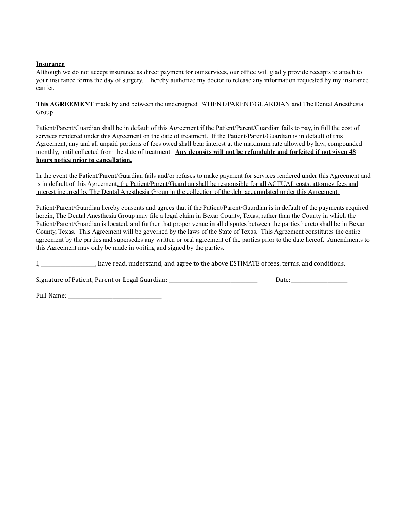#### **Insurance**

Although we do not accept insurance as direct payment for our services, our office will gladly provide receipts to attach to your insurance forms the day of surgery. I hereby authorize my doctor to release any information requested by my insurance carrier.

**This AGREEMENT** made by and between the undersigned PATIENT/PARENT/GUARDIAN and The Dental Anesthesia Group

Patient/Parent/Guardian shall be in default of this Agreement if the Patient/Parent/Guardian fails to pay, in full the cost of services rendered under this Agreement on the date of treatment. If the Patient/Parent/Guardian is in default of this Agreement, any and all unpaid portions of fees owed shall bear interest at the maximum rate allowed by law, compounded monthly, until collected from the date of treatment. **Any deposits will not be refundable and forfeited if not given 48 hours notice prior to cancellation.**

In the event the Patient/Parent/Guardian fails and/or refuses to make payment for services rendered under this Agreement and is in default of this Agreement, the Patient/Parent/Guardian shall be responsible for all ACTUAL costs, attorney fees and interest incurred by The Dental Anesthesia Group in the collection of the debt accumulated under this Agreement.

Patient/Parent/Guardian hereby consents and agrees that if the Patient/Parent/Guardian is in default of the payments required herein, The Dental Anesthesia Group may file a legal claim in Bexar County, Texas, rather than the County in which the Patient/Parent/Guardian is located, and further that proper venue in all disputes between the parties hereto shall be in Bexar County, Texas. This Agreement will be governed by the laws of the State of Texas. This Agreement constitutes the entire agreement by the parties and supersedes any written or oral agreement of the parties prior to the date hereof. Amendments to this Agreement may only be made in writing and signed by the parties.

I, \_\_\_\_\_\_\_\_\_\_\_\_\_\_\_\_\_\_\_\_\_\_, have read, understand, and agree to the above ESTIMATE of fees, terms, and conditions.

Signature of Patient, Parent or Legal Guardian: \_\_\_\_\_\_\_\_\_\_\_\_\_\_\_\_\_\_\_\_\_\_\_\_\_\_\_\_\_\_\_\_\_\_\_\_ Date:\_\_\_\_\_\_\_\_\_\_\_\_\_\_\_\_\_\_\_\_\_\_\_

Full Name: \_\_\_\_\_\_\_\_\_\_\_\_\_\_\_\_\_\_\_\_\_\_\_\_\_\_\_\_\_\_\_\_\_\_\_\_\_\_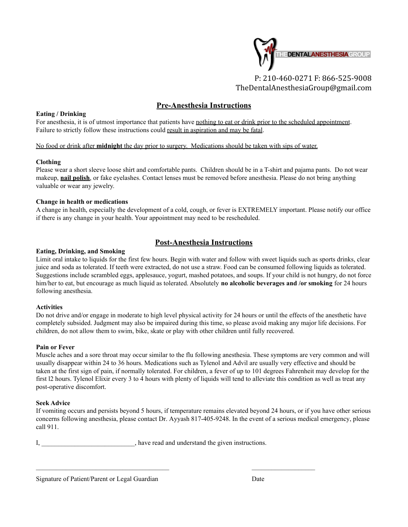

[TheDentalAnesthesiaGroup@gmail.com](mailto:TheDentalAnesthesiaGroup@gmail.com)

## **Pre-Anesthesia Instructions**

#### **Eating / Drinking**

For anesthesia, it is of utmost importance that patients have nothing to eat or drink prior to the scheduled appointment. Failure to strictly follow these instructions could result in aspiration and may be fatal.

#### No food or drink after **midnight** the day prior to surgery. Medications should be taken with sips of water.

#### **Clothing**

Please wear a short sleeve loose shirt and comfortable pants. Children should be in a T-shirt and pajama pants. Do not wear makeup, **nail polish**, or fake eyelashes. Contact lenses must be removed before anesthesia. Please do not bring anything valuable or wear any jewelry.

#### **Change in health or medications**

A change in health, especially the development of a cold, cough, or fever is EXTREMELY important. Please notify our office if there is any change in your health. Your appointment may need to be rescheduled.

### **Post-Anesthesia Instructions**

#### **Eating, Drinking, and Smoking**

Limit oral intake to liquids for the first few hours. Begin with water and follow with sweet liquids such as sports drinks, clear juice and soda as tolerated. If teeth were extracted, do not use a straw. Food can be consumed following liquids as tolerated. Suggestions include scrambled eggs, applesauce, yogurt, mashed potatoes, and soups. If your child is not hungry, do not force him/her to eat, but encourage as much liquid as tolerated. Absolutely **no alcoholic beverages and /or smoking** for 24 hours following anesthesia.

#### **Activities**

Do not drive and/or engage in moderate to high level physical activity for 24 hours or until the effects of the anesthetic have completely subsided. Judgment may also be impaired during this time, so please avoid making any major life decisions. For children, do not allow them to swim, bike, skate or play with other children until fully recovered.

#### **Pain or Fever**

Muscle aches and a sore throat may occur similar to the flu following anesthesia. These symptoms are very common and will usually disappear within 24 to 36 hours. Medications such as Tylenol and Advil are usually very effective and should be taken at the first sign of pain, if normally tolerated. For children, a fever of up to 101 degrees Fahrenheit may develop for the first l2 hours. Tylenol Elixir every 3 to 4 hours with plenty of liquids will tend to alleviate this condition as well as treat any post-operative discomfort.

#### **Seek Advice**

If vomiting occurs and persists beyond 5 hours, if temperature remains elevated beyond 24 hours, or if you have other serious concerns following anesthesia, please contact Dr. Ayyash 817-405-9248. In the event of a serious medical emergency, please call 911.

I, \_\_\_\_\_\_\_\_\_\_\_\_\_\_\_\_\_\_\_\_\_\_\_, have read and understand the given instructions.

Signature of Patient/Parent or Legal Guardian Date